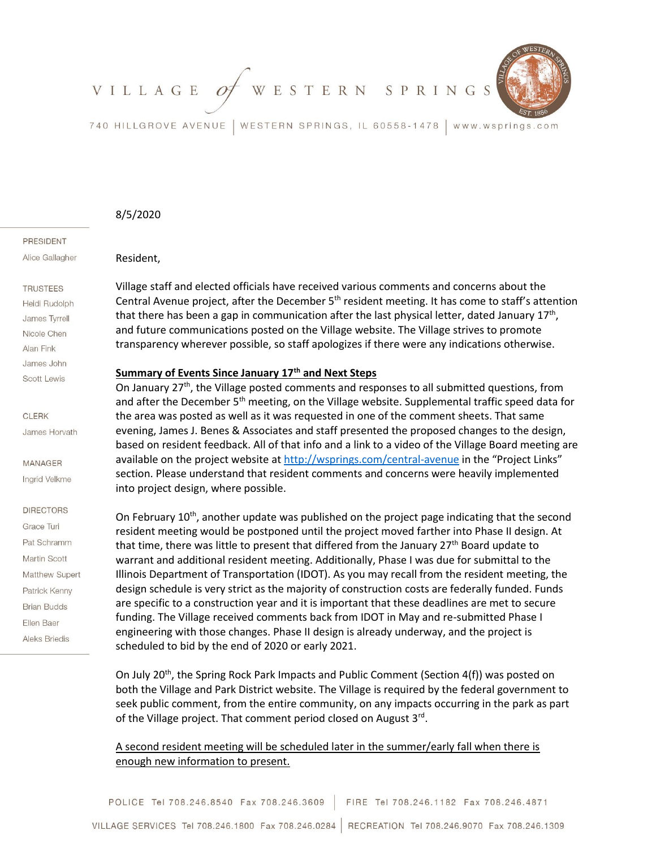

740 HILLGROVE AVENUE | WESTERN SPRINGS, IL 60558-1478 www.wsprings.com

### 8/5/2020

Resident,

PRESIDENT

Alice Gallagher

## **TRUSTEES**

Heidi Rudolph James Tyrrell Nicole Chen Alan Fink James John Scott Lewis

#### **CLERK**

James Horvath

# **MANAGER**

Inarid Velkme

### **DIRECTORS**

Grace Turi Pat Schramm **Martin Scott** Matthew Supert Patrick Kenny **Brian Budds** Ellen Baer **Aleks Briedis** 

Village staff and elected officials have received various comments and concerns about the Central Avenue project, after the December 5<sup>th</sup> resident meeting. It has come to staff's attention that there has been a gap in communication after the last physical letter, dated January  $17<sup>th</sup>$ , and future communications posted on the Village website. The Village strives to promote transparency wherever possible, so staff apologizes if there were any indications otherwise.

### **Summary of Events Since January 17th and Next Steps**

On January 27<sup>th</sup>, the Village posted comments and responses to all submitted questions, from and after the December 5<sup>th</sup> meeting, on the Village website. Supplemental traffic speed data for the area was posted as well as it was requested in one of the comment sheets. That same evening, James J. Benes & Associates and staff presented the proposed changes to the design, based on resident feedback. All of that info and a link to a video of the Village Board meeting are available on the project website at<http://wsprings.com/central-avenue> in the "Project Links" section. Please understand that resident comments and concerns were heavily implemented into project design, where possible.

On February  $10^{th}$ , another update was published on the project page indicating that the second resident meeting would be postponed until the project moved farther into Phase II design. At that time, there was little to present that differed from the January 27<sup>th</sup> Board update to warrant and additional resident meeting. Additionally, Phase I was due for submittal to the Illinois Department of Transportation (IDOT). As you may recall from the resident meeting, the design schedule is very strict as the majority of construction costs are federally funded. Funds are specific to a construction year and it is important that these deadlines are met to secure funding. The Village received comments back from IDOT in May and re-submitted Phase I engineering with those changes. Phase II design is already underway, and the project is scheduled to bid by the end of 2020 or early 2021.

On July 20<sup>th</sup>, the Spring Rock Park Impacts and Public Comment (Section 4(f)) was posted on both the Village and Park District website. The Village is required by the federal government to seek public comment, from the entire community, on any impacts occurring in the park as part of the Village project. That comment period closed on August 3<sup>rd</sup>.

A second resident meeting will be scheduled later in the summer/early fall when there is enough new information to present.